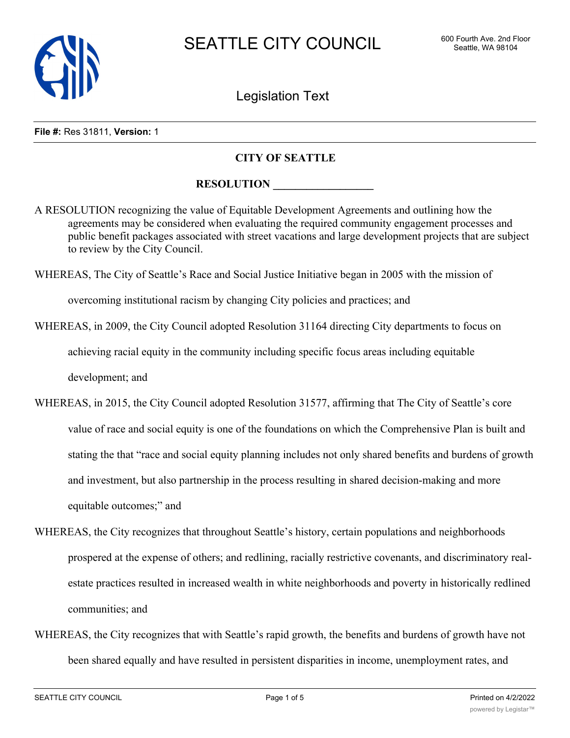

Legislation Text

#### **File #:** Res 31811, **Version:** 1

### **CITY OF SEATTLE**

## **RESOLUTION**

A RESOLUTION recognizing the value of Equitable Development Agreements and outlining how the agreements may be considered when evaluating the required community engagement processes and public benefit packages associated with street vacations and large development projects that are subject to review by the City Council.

WHEREAS, The City of Seattle's Race and Social Justice Initiative began in 2005 with the mission of

overcoming institutional racism by changing City policies and practices; and

WHEREAS, in 2009, the City Council adopted Resolution 31164 directing City departments to focus on

achieving racial equity in the community including specific focus areas including equitable

development; and

- WHEREAS, in 2015, the City Council adopted Resolution 31577, affirming that The City of Seattle's core value of race and social equity is one of the foundations on which the Comprehensive Plan is built and stating the that "race and social equity planning includes not only shared benefits and burdens of growth and investment, but also partnership in the process resulting in shared decision-making and more equitable outcomes;" and
- WHEREAS, the City recognizes that throughout Seattle's history, certain populations and neighborhoods prospered at the expense of others; and redlining, racially restrictive covenants, and discriminatory realestate practices resulted in increased wealth in white neighborhoods and poverty in historically redlined communities; and
- WHEREAS, the City recognizes that with Seattle's rapid growth, the benefits and burdens of growth have not been shared equally and have resulted in persistent disparities in income, unemployment rates, and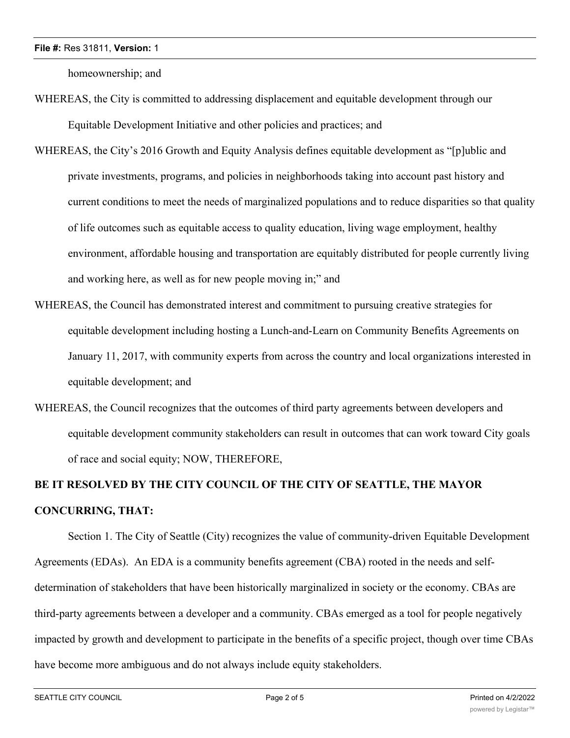homeownership; and

- WHEREAS, the City is committed to addressing displacement and equitable development through our Equitable Development Initiative and other policies and practices; and
- WHEREAS, the City's 2016 Growth and Equity Analysis defines equitable development as "[p]ublic and private investments, programs, and policies in neighborhoods taking into account past history and current conditions to meet the needs of marginalized populations and to reduce disparities so that quality of life outcomes such as equitable access to quality education, living wage employment, healthy environment, affordable housing and transportation are equitably distributed for people currently living and working here, as well as for new people moving in;" and
- WHEREAS, the Council has demonstrated interest and commitment to pursuing creative strategies for equitable development including hosting a Lunch-and-Learn on Community Benefits Agreements on January 11, 2017, with community experts from across the country and local organizations interested in equitable development; and
- WHEREAS, the Council recognizes that the outcomes of third party agreements between developers and equitable development community stakeholders can result in outcomes that can work toward City goals of race and social equity; NOW, THEREFORE,

# **BE IT RESOLVED BY THE CITY COUNCIL OF THE CITY OF SEATTLE, THE MAYOR CONCURRING, THAT:**

Section 1. The City of Seattle (City) recognizes the value of community-driven Equitable Development Agreements (EDAs). An EDA is a community benefits agreement (CBA) rooted in the needs and selfdetermination of stakeholders that have been historically marginalized in society or the economy. CBAs are third-party agreements between a developer and a community. CBAs emerged as a tool for people negatively impacted by growth and development to participate in the benefits of a specific project, though over time CBAs have become more ambiguous and do not always include equity stakeholders.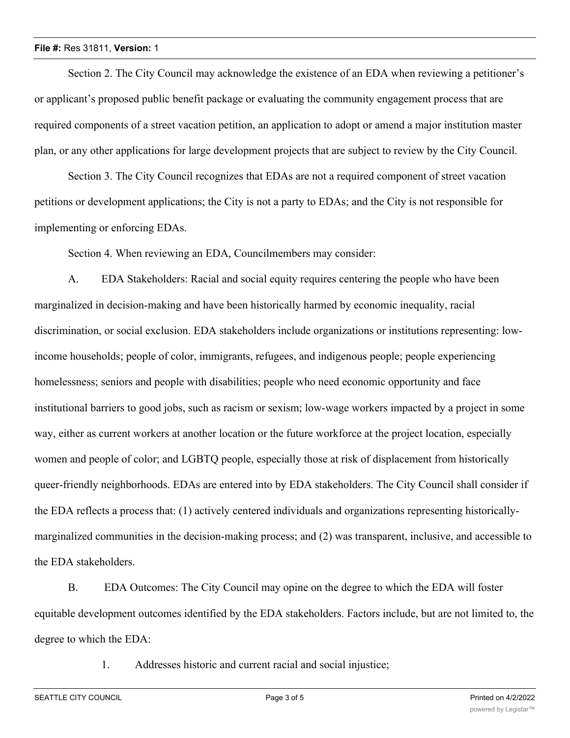### **File #:** Res 31811, **Version:** 1

Section 2. The City Council may acknowledge the existence of an EDA when reviewing a petitioner's or applicant's proposed public benefit package or evaluating the community engagement process that are required components of a street vacation petition, an application to adopt or amend a major institution master plan, or any other applications for large development projects that are subject to review by the City Council.

Section 3. The City Council recognizes that EDAs are not a required component of street vacation petitions or development applications; the City is not a party to EDAs; and the City is not responsible for implementing or enforcing EDAs.

Section 4. When reviewing an EDA, Councilmembers may consider:

A. EDA Stakeholders: Racial and social equity requires centering the people who have been marginalized in decision-making and have been historically harmed by economic inequality, racial discrimination, or social exclusion. EDA stakeholders include organizations or institutions representing: lowincome households; people of color, immigrants, refugees, and indigenous people; people experiencing homelessness; seniors and people with disabilities; people who need economic opportunity and face institutional barriers to good jobs, such as racism or sexism; low-wage workers impacted by a project in some way, either as current workers at another location or the future workforce at the project location, especially women and people of color; and LGBTQ people, especially those at risk of displacement from historically queer-friendly neighborhoods. EDAs are entered into by EDA stakeholders. The City Council shall consider if the EDA reflects a process that: (1) actively centered individuals and organizations representing historicallymarginalized communities in the decision-making process; and (2) was transparent, inclusive, and accessible to the EDA stakeholders.

B. EDA Outcomes: The City Council may opine on the degree to which the EDA will foster equitable development outcomes identified by the EDA stakeholders. Factors include, but are not limited to, the degree to which the EDA:

1. Addresses historic and current racial and social injustice;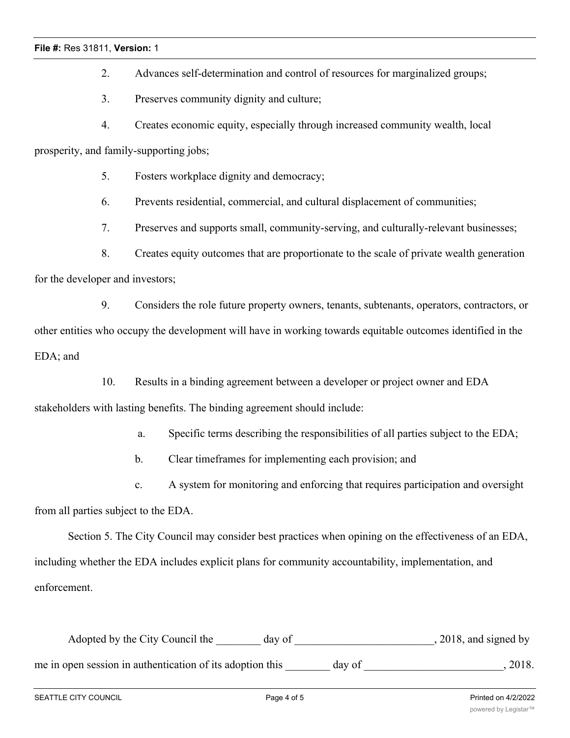### **File #:** Res 31811, **Version:** 1

2. Advances self-determination and control of resources for marginalized groups;

3. Preserves community dignity and culture;

4. Creates economic equity, especially through increased community wealth, local

prosperity, and family-supporting jobs;

5. Fosters workplace dignity and democracy;

6. Prevents residential, commercial, and cultural displacement of communities;

7. Preserves and supports small, community-serving, and culturally-relevant businesses;

8. Creates equity outcomes that are proportionate to the scale of private wealth generation for the developer and investors;

9. Considers the role future property owners, tenants, subtenants, operators, contractors, or other entities who occupy the development will have in working towards equitable outcomes identified in the EDA; and

10. Results in a binding agreement between a developer or project owner and EDA stakeholders with lasting benefits. The binding agreement should include:

a. Specific terms describing the responsibilities of all parties subject to the EDA;

b. Clear timeframes for implementing each provision; and

c. A system for monitoring and enforcing that requires participation and oversight

from all parties subject to the EDA.

Section 5. The City Council may consider best practices when opining on the effectiveness of an EDA, including whether the EDA includes explicit plans for community accountability, implementation, and enforcement.

Adopted by the City Council the \_\_\_\_\_\_ day of \_\_\_\_\_\_\_\_\_\_\_\_\_\_\_\_\_\_\_\_\_\_\_\_\_, 2018, and signed by me in open session in authentication of its adoption this \_\_\_\_\_\_\_ day of \_\_\_\_\_\_\_\_\_\_\_\_\_\_\_\_\_\_\_\_\_\_, 2018.